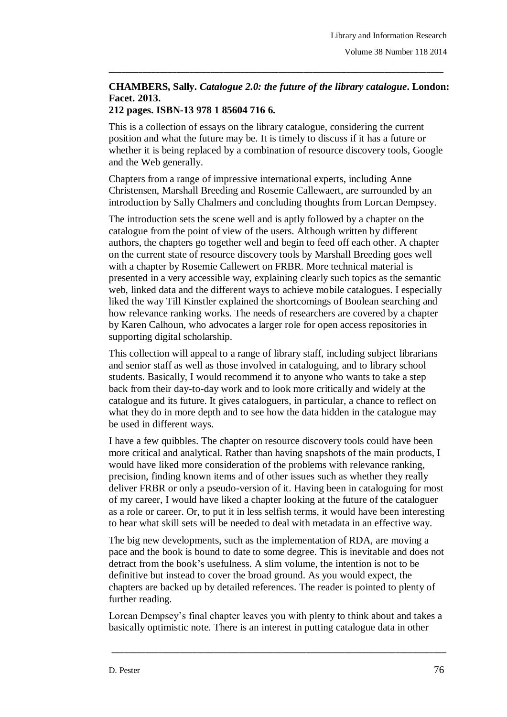## **CHAMBERS, Sally.** *Catalogue 2.0: the future of the library catalogue***. London: Facet. 2013.**

\_\_\_\_\_\_\_\_\_\_\_\_\_\_\_\_\_\_\_\_\_\_\_\_\_\_\_\_\_\_\_\_\_\_\_\_\_\_\_\_\_\_\_\_\_\_\_\_\_\_\_\_\_\_\_\_\_\_\_\_\_\_\_\_\_\_\_\_\_\_\_\_\_\_\_\_\_\_\_

## **212 pages. ISBN-13 978 1 85604 716 6.**

This is a collection of essays on the library catalogue, considering the current position and what the future may be. It is timely to discuss if it has a future or whether it is being replaced by a combination of resource discovery tools, Google and the Web generally.

Chapters from a range of impressive international experts, including Anne Christensen, Marshall Breeding and Rosemie Callewaert, are surrounded by an introduction by Sally Chalmers and concluding thoughts from Lorcan Dempsey.

The introduction sets the scene well and is aptly followed by a chapter on the catalogue from the point of view of the users. Although written by different authors, the chapters go together well and begin to feed off each other. A chapter on the current state of resource discovery tools by Marshall Breeding goes well with a chapter by Rosemie Callewert on FRBR. More technical material is presented in a very accessible way, explaining clearly such topics as the semantic web, linked data and the different ways to achieve mobile catalogues. I especially liked the way Till Kinstler explained the shortcomings of Boolean searching and how relevance ranking works. The needs of researchers are covered by a chapter by Karen Calhoun, who advocates a larger role for open access repositories in supporting digital scholarship.

This collection will appeal to a range of library staff, including subject librarians and senior staff as well as those involved in cataloguing, and to library school students. Basically, I would recommend it to anyone who wants to take a step back from their day-to-day work and to look more critically and widely at the catalogue and its future. It gives cataloguers, in particular, a chance to reflect on what they do in more depth and to see how the data hidden in the catalogue may be used in different ways.

I have a few quibbles. The chapter on resource discovery tools could have been more critical and analytical. Rather than having snapshots of the main products, I would have liked more consideration of the problems with relevance ranking, precision, finding known items and of other issues such as whether they really deliver FRBR or only a pseudo-version of it. Having been in cataloguing for most of my career, I would have liked a chapter looking at the future of the cataloguer as a role or career. Or, to put it in less selfish terms, it would have been interesting to hear what skill sets will be needed to deal with metadata in an effective way.

The big new developments, such as the implementation of RDA, are moving a pace and the book is bound to date to some degree. This is inevitable and does not detract from the book's usefulness. A slim volume, the intention is not to be definitive but instead to cover the broad ground. As you would expect, the chapters are backed up by detailed references. The reader is pointed to plenty of further reading.

Lorcan Dempsey's final chapter leaves you with plenty to think about and takes a basically optimistic note. There is an interest in putting catalogue data in other

\_\_\_\_\_\_\_\_\_\_\_\_\_\_\_\_\_\_\_\_\_\_\_\_\_\_\_\_\_\_\_\_\_\_\_\_\_\_\_\_\_\_\_\_\_\_\_\_\_\_\_\_\_\_\_\_\_\_\_\_\_\_\_\_\_\_\_\_\_\_\_\_\_\_\_\_\_\_\_